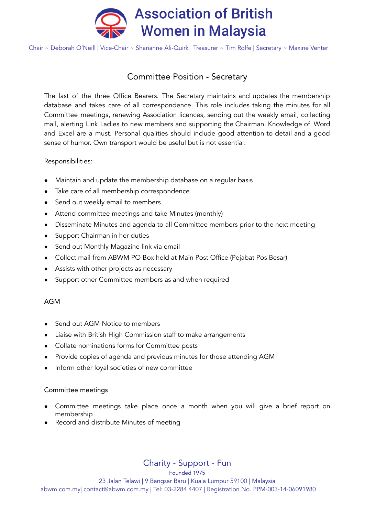

Chair ~ Deborah O'Neill | Vice-Chair ~ Sharianne Ali-Quirk | Treasurer ~ Tim Rolfe | Secretary ~ Maxine Venter

# Committee Position - Secretary

The last of the three Office Bearers. The Secretary maintains and updates the membership database and takes care of all correspondence. This role includes taking the minutes for all Committee meetings, renewing Association licences, sending out the weekly email, collecting mail, alerting Link Ladies to new members and supporting the Chairman. Knowledge of Word and Excel are a must. Personal qualities should include good attention to detail and a good sense of humor. Own transport would be useful but is not essential.

## Responsibilities:

- Maintain and update the membership database on a regular basis
- Take care of all membership correspondence
- Send out weekly email to members
- Attend committee meetings and take Minutes (monthly)
- Disseminate Minutes and agenda to all Committee members prior to the next meeting
- Support Chairman in her duties
- Send out Monthly Magazine link via email
- Collect mail from ABWM PO Box held at Main Post Office (Pejabat Pos Besar)
- Assists with other projects as necessary
- Support other Committee members as and when required

#### AGM

- Send out AGM Notice to members
- Liaise with British High Commission staff to make arrangements
- Collate nominations forms for Committee posts
- Provide copies of agenda and previous minutes for those attending AGM
- Inform other loyal societies of new committee

#### Committee meetings

- Committee meetings take place once a month when you will give a brief report on membership
- Record and distribute Minutes of meeting

Charity - Support - Fun

Founded 1975 23 Jalan Telawi | 9 Bangsar Baru | Kuala Lumpur 59100 | Malaysia abwm.com.my| contact@abwm.com.my | Tel: 03-2284 4407 | Registration No. PPM-003-14-06091980